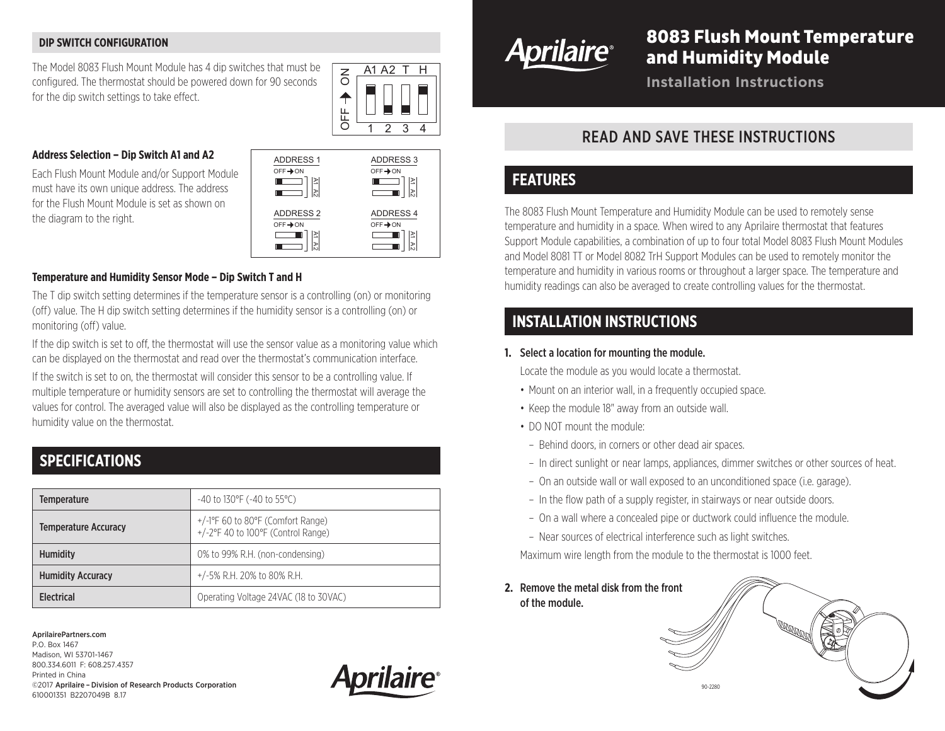#### **DIP SWITCH CONFIGURATION**

The Model 8083 Flush Mount Module has 4 dip switches that must be configured. The thermostat should be powered down for 90 seconds for the dip switch settings to take effect.



### **Address Selection – Dip Switch A1 and A2**

Each Flush Mount Module and/or Support Module must have its own unique address. The address for the Flush Mount Module is set as shown on the diagram to the right.



#### **Temperature and Humidity Sensor Mode – Dip Switch T and H**

The T dip switch setting determines if the temperature sensor is a controlling (on) or monitoring (off) value. The H dip switch setting determines if the humidity sensor is a controlling (on) or monitoring (off) value.

If the dip switch is set to off, the thermostat will use the sensor value as a monitoring value which can be displayed on the thermostat and read over the thermostat's communication interface.

If the switch is set to on, the thermostat will consider this sensor to be a controlling value. If multiple temperature or humidity sensors are set to controlling the thermostat will average the values for control. The averaged value will also be displayed as the controlling temperature or humidity value on the thermostat.

## **SPECIFICATIONS**

| <b>Temperature</b>          | $-40$ to 130°F (-40 to 55°C)                                                                        |
|-----------------------------|-----------------------------------------------------------------------------------------------------|
| <b>Temperature Accuracy</b> | $+/-1$ <sup>o</sup> F 60 to 80 <sup>o</sup> F (Comfort Range)<br>+/-2°F 40 to 100°F (Control Range) |
| <b>Humidity</b>             | 0% to 99% R.H. (non-condensing)                                                                     |
| <b>Humidity Accuracy</b>    | $+/-5\%$ R.H. 20% to 80% R.H.                                                                       |
| <b>Flectrical</b>           | Operating Voltage 24VAC (18 to 30VAC)                                                               |

AprilairePartners.com

P.O. Box 1467 Madison, WI 53701-1467 800.334.6011 F: 608.257.4357 Printed in China ©2017 Aprilaire –Division of Research Products Corporation 610001351 B2207049B 8.17





# 8083 Flush Mount Temperature and Humidity Module

**Installation Instructions**

## READ AND SAVE THESE INSTRUCTIONS

## **FEATURES**

The 8083 Flush Mount Temperature and Humidity Module can be used to remotely sense temperature and humidity in a space. When wired to any Aprilaire thermostat that features Support Module capabilities, a combination of up to four total Model 8083 Flush Mount Modules and Model 8081 TT or Model 8082 TrH Support Modules can be used to remotely monitor the temperature and humidity in various rooms or throughout a larger space. The temperature and humidity readings can also be averaged to create controlling values for the thermostat.

## **INSTALLATION INSTRUCTIONS**

#### **1.** Select a location for mounting the module.

Locate the module as you would locate a thermostat.

- Mount on an interior wall, in a frequently occupied space.
- Keep the module 18" away from an outside wall.
- DO NOT mount the module:
- Behind doors, in corners or other dead air spaces.
- In direct sunlight or near lamps, appliances, dimmer switches or other sources of heat.
- On an outside wall or wall exposed to an unconditioned space (i.e. garage).
- In the flow path of a supply register, in stairways or near outside doors.
- On a wall where a concealed pipe or ductwork could influence the module.
- Near sources of electrical interference such as light switches.

Maximum wire length from the module to the thermostat is 1000 feet.

**2.** Remove the metal disk from the front of the module.